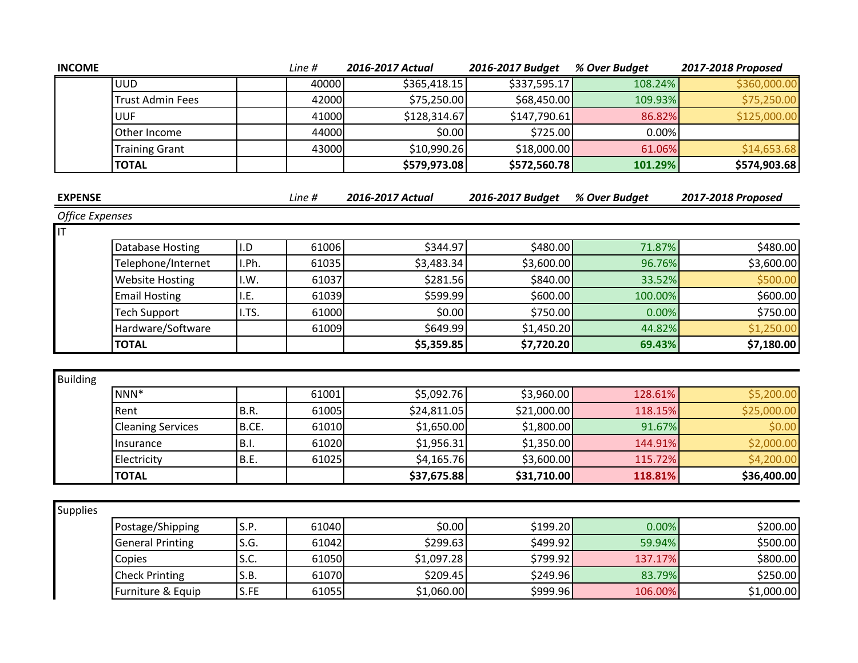| <b>INCOME</b>           |                          |             | Line # | 2016-2017 Actual | 2016-2017 Budget | % Over Budget | 2017-2018 Proposed |
|-------------------------|--------------------------|-------------|--------|------------------|------------------|---------------|--------------------|
|                         | <b>UUD</b>               |             | 40000  | \$365,418.15     | \$337,595.17     | 108.24%       | \$360,000.00       |
|                         | <b>Trust Admin Fees</b>  |             | 42000  | \$75,250.00      | \$68,450.00      | 109.93%       | \$75,250.00        |
|                         | <b>UUF</b>               |             | 41000  | \$128,314.67     | \$147,790.61     | 86.82%        | \$125,000.00       |
|                         | Other Income             |             | 44000  | \$0.00           | \$725.00         | 0.00%         |                    |
|                         | <b>Training Grant</b>    |             | 43000  | \$10,990.26      | \$18,000.00      | 61.06%        | \$14,653.68        |
|                         | <b>TOTAL</b>             |             |        | \$579,973.08     | \$572,560.78     | 101.29%       | \$574,903.68       |
|                         |                          |             |        |                  |                  |               |                    |
| <b>EXPENSE</b>          |                          |             | Line # | 2016-2017 Actual | 2016-2017 Budget | % Over Budget | 2017-2018 Proposed |
| <b>Office Expenses</b>  |                          |             |        |                  |                  |               |                    |
| $\overline{\mathsf{I}}$ |                          |             |        |                  |                  |               |                    |
|                         | Database Hosting         | I.D         | 61006  | \$344.97         | \$480.00         | 71.87%        | \$480.00           |
|                         | Telephone/Internet       | I.Ph.       | 61035  | \$3,483.34       | \$3,600.00       | 96.76%        | \$3,600.00         |
|                         | <b>Website Hosting</b>   | I.W.        | 61037  | \$281.56         | \$840.00         | 33.52%        | \$500.00           |
|                         | <b>Email Hosting</b>     | I.E.        | 61039  | \$599.99         | \$600.00         | 100.00%       | \$600.00           |
|                         | <b>Tech Support</b>      | I.TS.       | 61000  | \$0.00           | \$750.00         | 0.00%         | \$750.00           |
|                         | Hardware/Software        |             | 61009  | \$649.99         | \$1,450.20       | 44.82%        | \$1,250.00         |
|                         | <b>TOTAL</b>             |             |        | \$5,359.85       | \$7,720.20       | 69.43%        | \$7,180.00         |
|                         |                          |             |        |                  |                  |               |                    |
| <b>Building</b>         |                          |             |        |                  |                  |               |                    |
|                         | NNN <sup>*</sup>         |             | 61001  | \$5,092.76       | \$3,960.00       | 128.61%       | \$5,200.00         |
|                         | Rent                     | B.R.        | 61005  | \$24,811.05      | \$21,000.00      | 118.15%       | \$25,000.00        |
|                         | <b>Cleaning Services</b> | B.CE.       | 61010  | \$1,650.00       | \$1,800.00       | 91.67%        | \$0.00             |
|                         | Insurance                | <b>B.I.</b> | 61020  | \$1,956.31       | \$1,350.00       | 144.91%       | \$2,000.00         |
|                         | Electricity              | B.E.        | 61025  | \$4,165.76       | \$3,600.00       | 115.72%       | \$4,200.00         |
|                         | <b>TOTAL</b>             |             |        | \$37,675.88      | \$31,710.00      | 118.81%       | \$36,400.00        |
|                         |                          |             |        |                  |                  |               |                    |
| Supplies                |                          |             |        |                  |                  |               |                    |
|                         | Postage/Shipping         | S.P.        | 61040  | \$0.00           | \$199.20         | 0.00%         | \$200.00           |
|                         | <b>General Printing</b>  | S.G.        | 61042  | \$299.63         | \$499.92         | 59.94%        | \$500.00           |
|                         | Copies                   | S.C.        | 61050  | \$1,097.28       | \$799.92         | 137.17%       | \$800.00           |
|                         | <b>Check Printing</b>    | S.B.        | 61070  | \$209.45         | \$249.96         | 83.79%        | \$250.00           |
|                         | Furniture & Equip        | S.FE        | 61055  | \$1,060.00       | \$999.96         | 106.00%       | \$1,000.00         |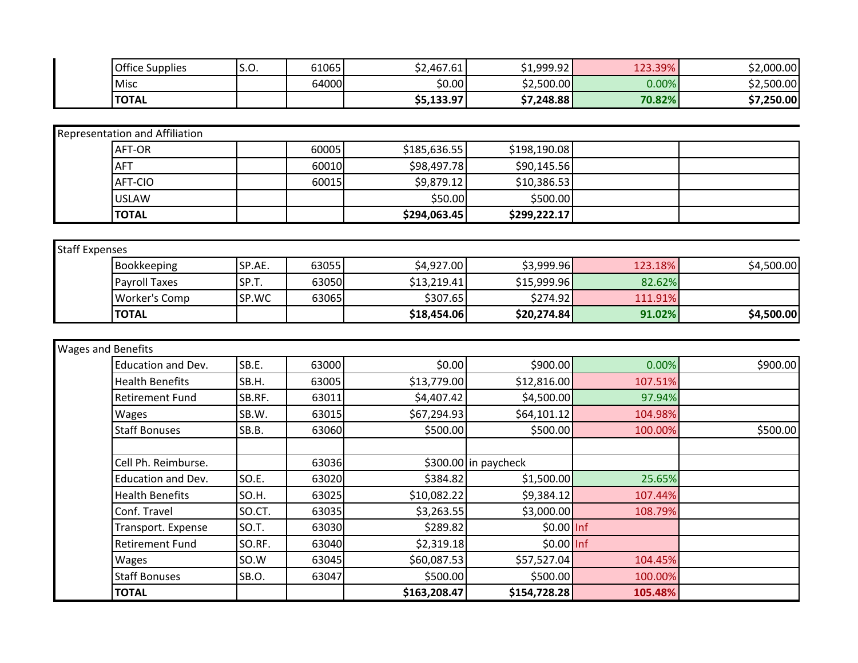| <b>Office Supplies</b> | $\sim$ $\sim$<br><u>.ບ.</u> | 61065 | \$2,467.61 | \$1,999.92 | 123.39% | \$2,000.00 |
|------------------------|-----------------------------|-------|------------|------------|---------|------------|
| <b>Misc</b>            |                             | 64000 | \$0.00     | \$2,500.00 | 0.00%   | \$2,500.00 |
| <b>TOTAL</b>           |                             |       | \$5,133.97 | \$7,248.88 | 70.82%  | \$7,250.00 |

| Representation and Affiliation |       |              |              |  |
|--------------------------------|-------|--------------|--------------|--|
| AFT-OR                         | 60005 | \$185,636.55 | \$198,190.08 |  |
| <b>AFT</b>                     | 60010 | \$98,497.78  | \$90,145.56  |  |
| AFT-CIO                        | 60015 | \$9,879.12   | \$10,386.53  |  |
| <b>USLAW</b>                   |       | \$50.00      | \$500.00     |  |
| <b>TOTAL</b>                   |       | \$294,063.45 | \$299,222.17 |  |

| <b>Staff Expenses</b> |                      |        |       |             |              |         |            |
|-----------------------|----------------------|--------|-------|-------------|--------------|---------|------------|
|                       | Bookkeeping          | SP.AE. | 63055 | \$4,927.00  | \$3,999.96   | 123.18% | \$4,500.00 |
|                       | <b>Payroll Taxes</b> | SP.T.  | 63050 | \$13,219.41 | \$15,999.96  | 82.62%  |            |
|                       | Worker's Comp        | SP.WC  | 63065 | \$307.65    | \$274.92     | 111.91% |            |
|                       | <b>TOTAL</b>         |        |       | \$18,454.06 | \$20,274.84] | 91.02%  | \$4,500.00 |

| <b>Wages and Benefits</b> |        |       |              |                      |         |          |
|---------------------------|--------|-------|--------------|----------------------|---------|----------|
| Education and Dev.        | SB.E.  | 63000 | \$0.00       | \$900.00             | 0.00%   | \$900.00 |
| <b>Health Benefits</b>    | SB.H.  | 63005 | \$13,779.00  | \$12,816.00          | 107.51% |          |
| <b>Retirement Fund</b>    | SB.RF. | 63011 | \$4,407.42   | \$4,500.00           | 97.94%  |          |
| <b>Wages</b>              | SB.W.  | 63015 | \$67,294.93  | \$64,101.12          | 104.98% |          |
| <b>Staff Bonuses</b>      | SB.B.  | 63060 | \$500.00     | \$500.00             | 100.00% | \$500.00 |
|                           |        |       |              |                      |         |          |
| Cell Ph. Reimburse.       |        | 63036 |              | \$300.00 in paycheck |         |          |
| <b>Education and Dev.</b> | SO.E.  | 63020 | \$384.82     | \$1,500.00           | 25.65%  |          |
| <b>Health Benefits</b>    | SO.H.  | 63025 | \$10,082.22  | \$9,384.12           | 107.44% |          |
| Conf. Travel              | SO.CT. | 63035 | \$3,263.55   | \$3,000.00           | 108.79% |          |
| Transport. Expense        | SO.T.  | 63030 | \$289.82     | \$0.00 Inf           |         |          |
| <b>Retirement Fund</b>    | SO.RF. | 63040 | \$2,319.18   | \$0.00 Inf           |         |          |
| Wages                     | SO.W   | 63045 | \$60,087.53  | \$57,527.04          | 104.45% |          |
| <b>Staff Bonuses</b>      | SB.O.  | 63047 | \$500.00     | \$500.00             | 100.00% |          |
| <b>TOTAL</b>              |        |       | \$163,208.47 | \$154,728.28         | 105.48% |          |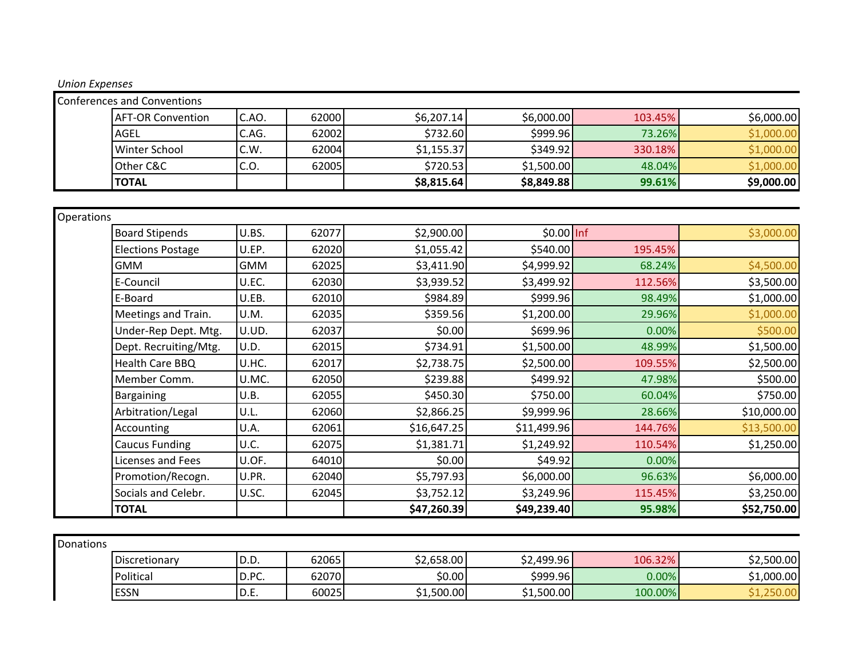| <b>Conferences and Conventions</b> |       |       |            |            |         |            |
|------------------------------------|-------|-------|------------|------------|---------|------------|
| <b>AFT-OR Convention</b>           | C.AO. | 62000 | \$6,207.14 | \$6,000.00 | 103.45% | \$6,000.00 |
| <b>AGEL</b>                        | C.AG. | 62002 | \$732.60   | \$999.96   | 73.26%  | \$1,000.00 |
| Winter School                      | C.W.  | 62004 | \$1,155.37 | \$349.92   | 330.18% | \$1,000.00 |
| Other C&C                          | C.O.  | 62005 | \$720.53   | \$1,500.00 | 48.04%  | \$1,000.00 |
| <b>TOTAL</b>                       |       |       | \$8,815.64 | \$8,849.88 | 99.61%  | \$9,000.00 |

| Operations               |            |       |             |             |         |             |
|--------------------------|------------|-------|-------------|-------------|---------|-------------|
| <b>Board Stipends</b>    | U.BS.      | 62077 | \$2,900.00  | \$0.00 Inf  |         | \$3,000.00  |
| <b>Elections Postage</b> | U.EP.      | 62020 | \$1,055.42  | \$540.00    | 195.45% |             |
| <b>GMM</b>               | <b>GMM</b> | 62025 | \$3,411.90  | \$4,999.92  | 68.24%  | \$4,500.00  |
| E-Council                | U.EC.      | 62030 | \$3,939.52  | \$3,499.92  | 112.56% | \$3,500.00  |
| E-Board                  | U.EB.      | 62010 | \$984.89    | \$999.96    | 98.49%  | \$1,000.00  |
| Meetings and Train.      | U.M.       | 62035 | \$359.56    | \$1,200.00  | 29.96%  | \$1,000.00  |
| Under-Rep Dept. Mtg.     | U.UD.      | 62037 | \$0.00      | \$699.96    | 0.00%   | \$500.00    |
| Dept. Recruiting/Mtg.    | U.D.       | 62015 | \$734.91    | \$1,500.00  | 48.99%  | \$1,500.00  |
| Health Care BBQ          | U.HC.      | 62017 | \$2,738.75  | \$2,500.00  | 109.55% | \$2,500.00  |
| Member Comm.             | U.MC.      | 62050 | \$239.88    | \$499.92    | 47.98%  | \$500.00    |
| Bargaining               | U.B.       | 62055 | \$450.30    | \$750.00    | 60.04%  | \$750.00    |
| Arbitration/Legal        | U.L.       | 62060 | \$2,866.25  | \$9,999.96  | 28.66%  | \$10,000.00 |
| Accounting               | U.A.       | 62061 | \$16,647.25 | \$11,499.96 | 144.76% | \$13,500.00 |
| <b>Caucus Funding</b>    | U.C.       | 62075 | \$1,381.71  | \$1,249.92  | 110.54% | \$1,250.00  |
| Licenses and Fees        | U.OF.      | 64010 | \$0.00      | \$49.92]    | 0.00%   |             |
| Promotion/Recogn.        | U.PR.      | 62040 | \$5,797.93  | \$6,000.00  | 96.63%  | \$6,000.00  |
| Socials and Celebr.      | U.SC.      | 62045 | \$3,752.12  | \$3,249.96  | 115.45% | \$3,250.00  |
| <b>TOTAL</b>             |            |       | \$47,260.39 | \$49,239.40 | 95.98%  | \$52,750.00 |

| Discretionary | n<br>n<br>υ.υ. | 62065 | \$2,658.00 | 32,499.96 | 106.32% | \$2,500.00   |
|---------------|----------------|-------|------------|-----------|---------|--------------|
| Political     | D.PC.          | 62070 | \$0.00     | \$999.96  | 0.00%   | $1,000.00$ ر |
| <b>ESSN</b>   | レ.∟.           | 60025 | 51,500.00  | 51,500.00 | 100.00% |              |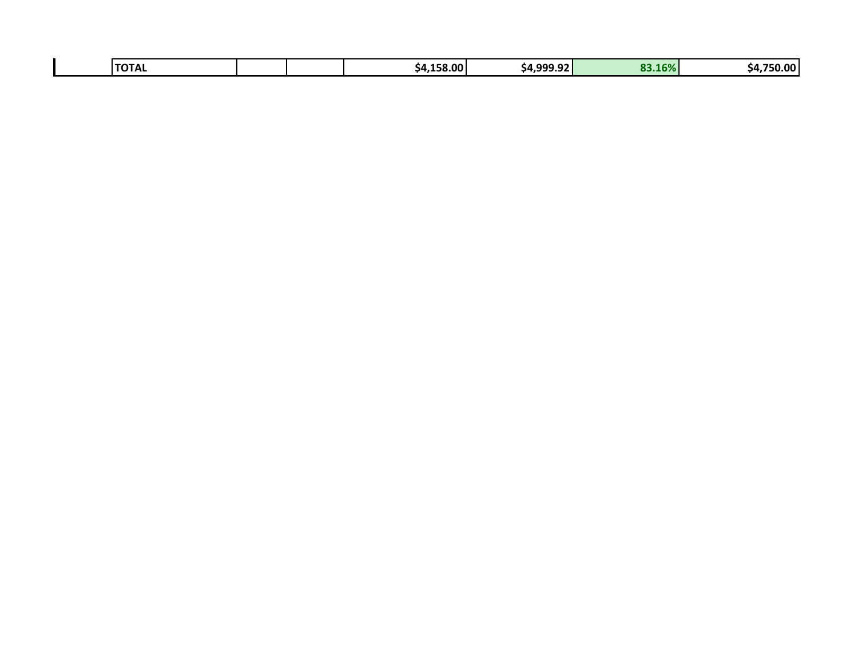| .<br>.158.00<br>16%<br>$\sim$<br>. റററ<br><b>CO</b><br>1 I Δ<br>54.999.JL<br>54.1<br>$\blacksquare$ | 50.00'<br>54. |
|-----------------------------------------------------------------------------------------------------|---------------|
|-----------------------------------------------------------------------------------------------------|---------------|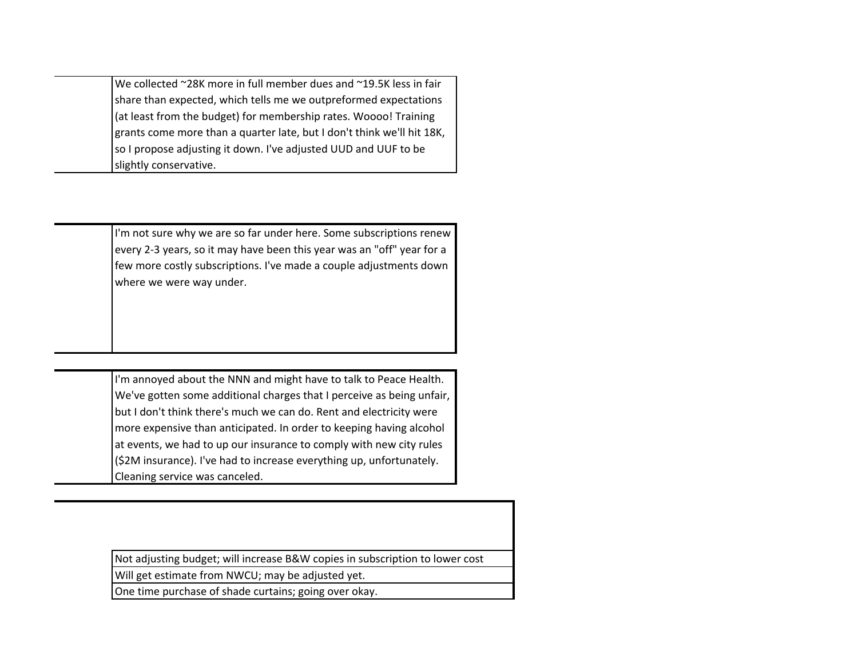We collected  $\sim$ 28K more in full member dues and  $\sim$ 19.5K less in fair share than expected, which tells me we outpreformed expectations (at least from the budget) for membership rates. Woooo! Training grants come more than a quarter late, but I don't think we'll hit 18K, so I propose adjusting it down. I've adjusted UUD and UUF to be slightly conservative.

> I'm not sure why we are so far under here. Some subscriptions renew every 2-3 years, so it may have been this year was an "off" year for a few more costly subscriptions. I've made a couple adjustments down where we were way under.

> I'm annoyed about the NNN and might have to talk to Peace Health. We've gotten some additional charges that I perceive as being unfair, but I don't think there's much we can do. Rent and electricity were more expensive than anticipated. In order to keeping having alcohol at events, we had to up our insurance to comply with new city rules (\$2M insurance). I've had to increase everything up, unfortunately. Cleaning service was canceled.

Not adjusting budget; will increase B&W copies in subscription to lower cost

Will get estimate from NWCU; may be adjusted yet.

One time purchase of shade curtains; going over okay.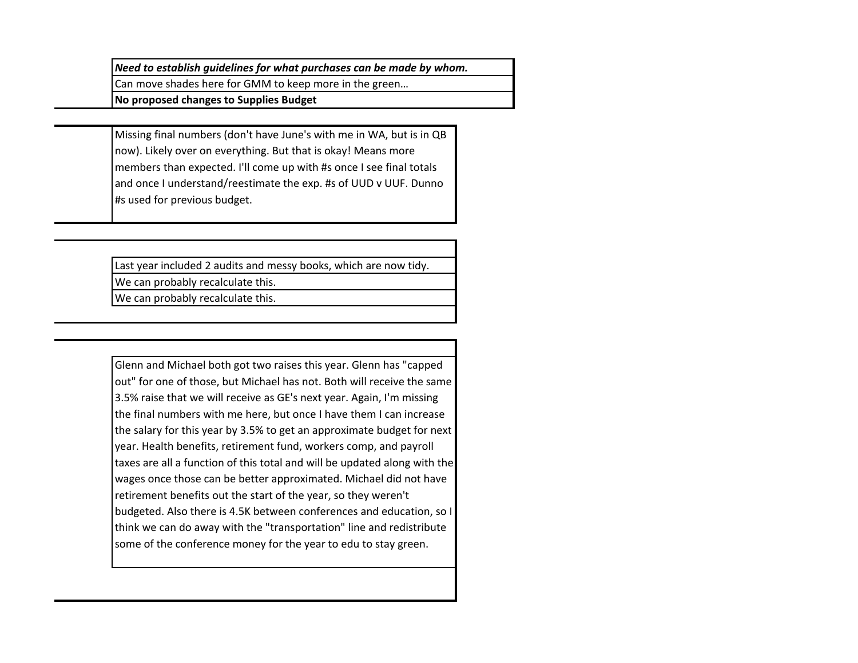*Need to establish quidelines for what purchases can be made by whom.* 

Can move shades here for GMM to keep more in the green...

**No proposed changes to Supplies Budget**

Missing final numbers (don't have June's with me in WA, but is in QB now). Likely over on everything. But that is okay! Means more members than expected. I'll come up with #s once I see final totals and once I understand/reestimate the exp. #s of UUD v UUF. Dunno #s used for previous budget.

Last year included 2 audits and messy books, which are now tidy.

We can probably recalculate this.

We can probably recalculate this.

Glenn and Michael both got two raises this year. Glenn has "capped out" for one of those, but Michael has not. Both will receive the same 3.5% raise that we will receive as GE's next year. Again, I'm missing the final numbers with me here, but once I have them I can increase the salary for this year by 3.5% to get an approximate budget for next year. Health benefits, retirement fund, workers comp, and payroll taxes are all a function of this total and will be updated along with the wages once those can be better approximated. Michael did not have retirement benefits out the start of the year, so they weren't budgeted. Also there is 4.5K between conferences and education, so I think we can do away with the "transportation" line and redistribute some of the conference money for the year to edu to stay green.